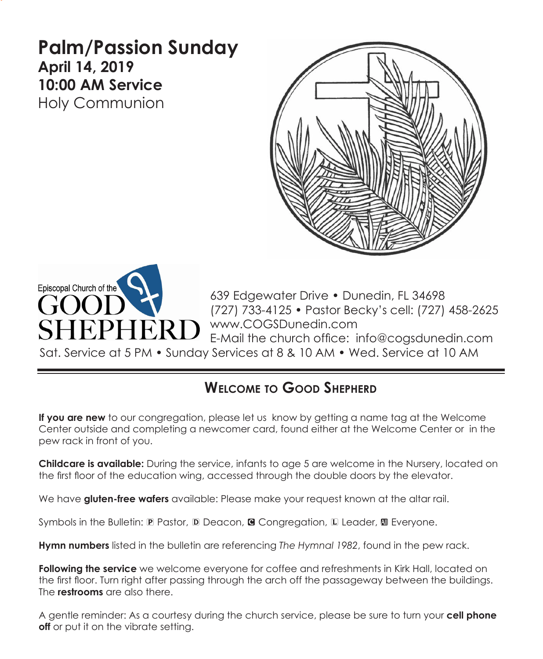# **Palm/Passion Sunday April 14, 2019 10:00 AM Service**  Holy Communion





639 Edgewater Drive • Dunedin, FL 34698 (727) 733-4125 • Pastor Becky's cell: (727) 458-2625 www.COGSDunedin.com E-Mail the church office: info@cogsdunedin.com

Sat. Service at 5 PM • Sunday Services at 8 & 10 AM • Wed. Service at 10 AM

# **Welcome to Good Shepherd**

**If you are new** to our congregation, please let us know by getting a name tag at the Welcome Center outside and completing a newcomer card, found either at the Welcome Center or in the pew rack in front of you.

**Childcare is available:** During the service, infants to age 5 are welcome in the Nursery, located on the first floor of the education wing, accessed through the double doors by the elevator.

We have **gluten-free wafers** available: Please make your request known at the altar rail.

Symbols in the Bulletin:  $\mathbb P$  Pastor,  $\mathbb D$  Deacon, **G** Congregation,  $\mathbb L$  Leader,  $\mathbb D$  Everyone.

**Hymn numbers** listed in the bulletin are referencing *The Hymnal 1982*, found in the pew rack.

**Following the service** we welcome everyone for coffee and refreshments in Kirk Hall, located on the first floor. Turn right after passing through the arch off the passageway between the buildings. The **restrooms** are also there.

A gentle reminder: As a courtesy during the church service, please be sure to turn your **cell phone off** or put it on the vibrate setting.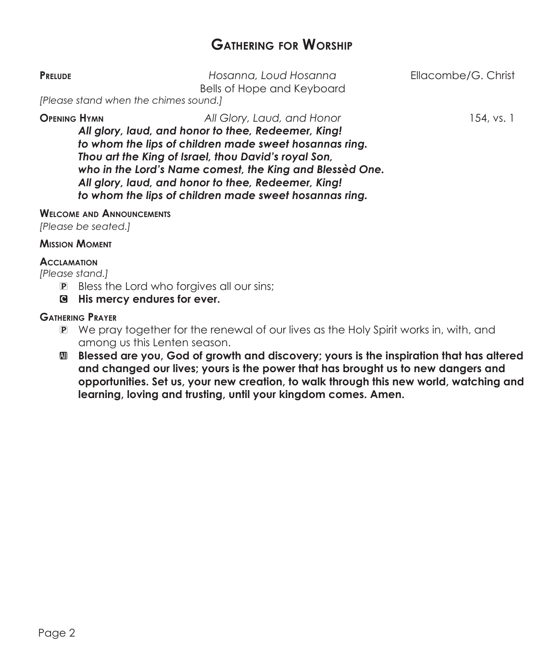# **Gathering for Worship**

| <b>PRELUDE</b>                                         | Hosanna, Loud Hosanna<br>Bells of Hope and Keyboard  | Ellacombe/G. Christ |  |
|--------------------------------------------------------|------------------------------------------------------|---------------------|--|
| [Please stand when the chimes sound.]                  |                                                      |                     |  |
| <b>OPENING HYMN</b>                                    | All Glory, Laud, and Honor                           | 154, vs. 1          |  |
| All glory, laud, and honor to thee, Redeemer, King!    |                                                      |                     |  |
| to whom the lips of children made sweet hosannas ring. |                                                      |                     |  |
|                                                        | Thou art the King of Israel, thou David's royal Son, |                     |  |

*who in the Lord's Name comest, the King and Blessèd One.*

*All glory, laud, and honor to thee, Redeemer, King! to whom the lips of children made sweet hosannas ring.*

**Welcome and Announcements**

*[Please be seated.]*

#### **Mission Moment**

#### **Acclamation**

*[Please stand.]*

- **P** Bless the Lord who forgives all our sins;
- C **His mercy endures for ever.**

#### **Gathering Prayer**

- P We pray together for the renewal of our lives as the Holy Spirit works in, with, and among us this Lenten season.
- a **Blessed are you, God of growth and discovery; yours is the inspiration that has altered and changed our lives; yours is the power that has brought us to new dangers and opportunities. Set us, your new creation, to walk through this new world, watching and learning, loving and trusting, until your kingdom comes. Amen.**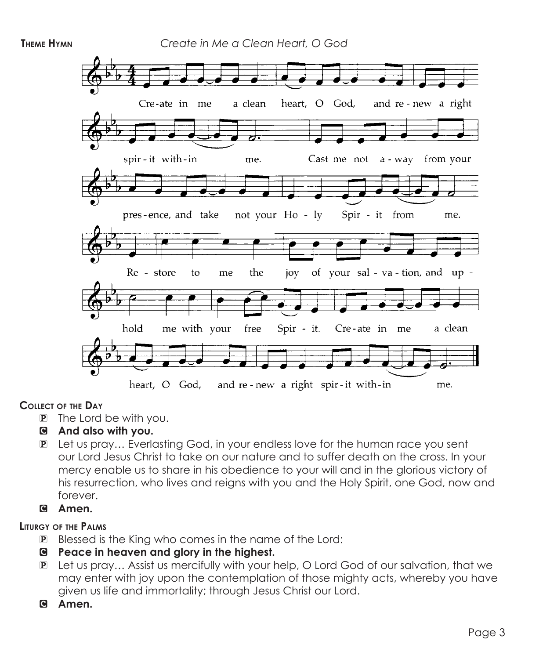

### **Collect of the Day**

- P The Lord be with you.
- C **And also with you.**
- P Let us pray… Everlasting God, in your endless love for the human race you sent our Lord Jesus Christ to take on our nature and to suffer death on the cross. In your mercy enable us to share in his obedience to your will and in the glorious victory of his resurrection, who lives and reigns with you and the Holy Spirit, one God, now and forever.
- C **Amen.**

## **Liturgy of the Palms**

- P Blessed is the King who comes in the name of the Lord:
- C **Peace in heaven and glory in the highest.**
- P Let us pray… Assist us mercifully with your help, O Lord God of our salvation, that we may enter with joy upon the contemplation of those mighty acts, whereby you have given us life and immortality; through Jesus Christ our Lord.
- C **Amen.**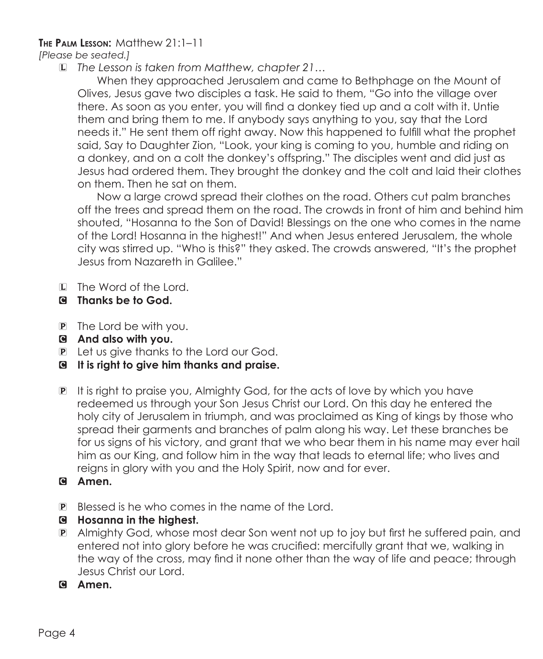# **The Palm Lesson:** Matthew 21:1–11

*[Please be seated.]*

L *The Lesson is taken from Matthew, chapter 21…*

 When they approached Jerusalem and came to Bethphage on the Mount of Olives, Jesus gave two disciples a task. He said to them, "Go into the village over there. As soon as you enter, you will find a donkey tied up and a colt with it. Untie them and bring them to me. If anybody says anything to you, say that the Lord needs it." He sent them off right away. Now this happened to fulfill what the prophet said, Say to Daughter Zion, "Look, your king is coming to you, humble and riding on a donkey, and on a colt the donkey's offspring." The disciples went and did just as Jesus had ordered them. They brought the donkey and the colt and laid their clothes on them. Then he sat on them.

 Now a large crowd spread their clothes on the road. Others cut palm branches off the trees and spread them on the road. The crowds in front of him and behind him shouted, "Hosanna to the Son of David! Blessings on the one who comes in the name of the Lord! Hosanna in the highest!" And when Jesus entered Jerusalem, the whole city was stirred up. "Who is this?" they asked. The crowds answered, "It's the prophet Jesus from Nazareth in Galilee."

- L The Word of the Lord.
- C **Thanks be to God.**
- P The Lord be with you.
- C **And also with you.**
- P Let us give thanks to the Lord our God.
- C **It is right to give him thanks and praise.**
- P It is right to praise you, Almighty God, for the acts of love by which you have redeemed us through your Son Jesus Christ our Lord. On this day he entered the holy city of Jerusalem in triumph, and was proclaimed as King of kings by those who spread their garments and branches of palm along his way. Let these branches be for us signs of his victory, and grant that we who bear them in his name may ever hail him as our King, and follow him in the way that leads to eternal life; who lives and reigns in glory with you and the Holy Spirit, now and for ever.
- C **Amen.**
- P Blessed is he who comes in the name of the Lord.
- C **Hosanna in the highest.**
- P Almighty God, whose most dear Son went not up to joy but first he suffered pain, and entered not into glory before he was crucified: mercifully grant that we, walking in the way of the cross, may find it none other than the way of life and peace; through Jesus Christ our Lord.
- C **Amen.**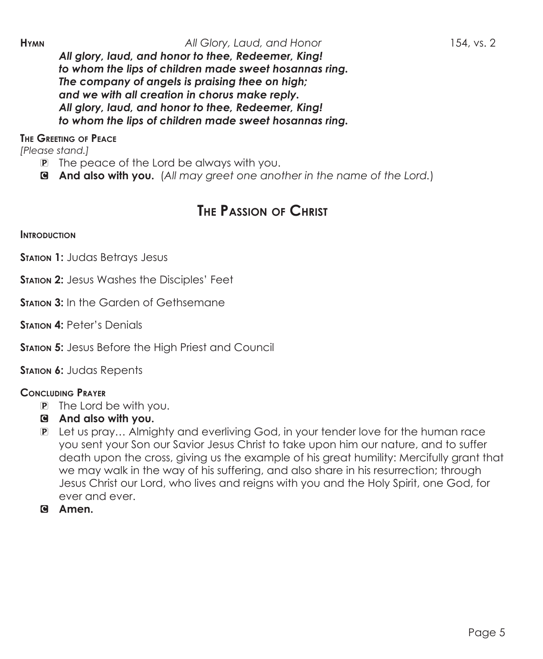*All glory, laud, and honor to thee, Redeemer, King! to whom the lips of children made sweet hosannas ring. The company of angels is praising thee on high; and we with all creation in chorus make reply. All glory, laud, and honor to thee, Redeemer, King! to whom the lips of children made sweet hosannas ring.*

**The Greeting of Peace**

*[Please stand.]*

- P The peace of the Lord be always with you.
- C **And also with you.** (*All may greet one another in the name of the Lord.*)

# **The Passion of Christ**

**INTRODUCTION** 

**Station 1:** Judas Betrays Jesus

**Station 2:** Jesus Washes the Disciples' Feet

**Station 3:** In the Garden of Gethsemane

**Station 4:** Peter's Denials

**STATION 5:** Jesus Before the High Priest and Council

**Station 6:** Judas Repents

### **Concluding Prayer**

- P The Lord be with you.
- C **And also with you.**
- P Let us pray… Almighty and everliving God, in your tender love for the human race you sent your Son our Savior Jesus Christ to take upon him our nature, and to suffer death upon the cross, giving us the example of his great humility: Mercifully grant that we may walk in the way of his suffering, and also share in his resurrection; through Jesus Christ our Lord, who lives and reigns with you and the Holy Spirit, one God, for ever and ever.
- C **Amen.**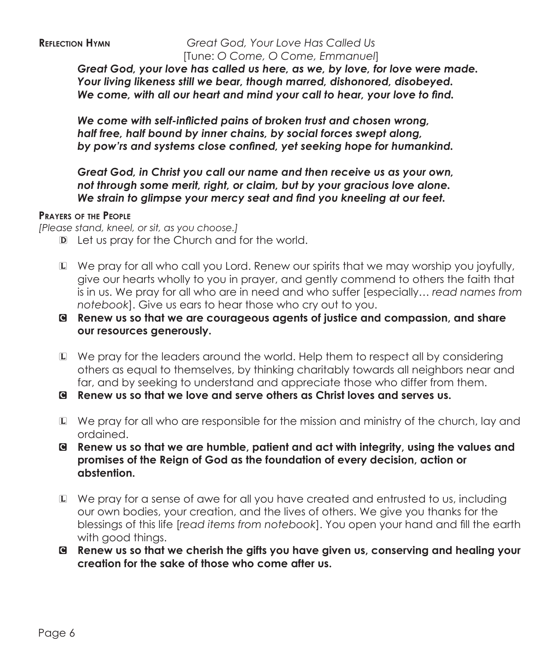# **Reflection Hymn** *Great God, Your Love Has Called Us* [Tune: *O Come, O Come, Emmanuel*]

*Great God, your love has called us here, as we, by love, for love were made. Your living likeness still we bear, though marred, dishonored, disobeyed. We come, with all our heart and mind your call to hear, your love to find.*

*We come with self-inflicted pains of broken trust and chosen wrong, half free, half bound by inner chains, by social forces swept along, by pow'rs and systems close confined, yet seeking hope for humankind.*

*Great God, in Christ you call our name and then receive us as your own, not through some merit, right, or claim, but by your gracious love alone. We strain to glimpse your mercy seat and find you kneeling at our feet.*

#### **Prayers of the People**

*[Please stand, kneel, or sit, as you choose.]*

- D Let us pray for the Church and for the world.
- L We pray for all who call you Lord. Renew our spirits that we may worship you joyfully, give our hearts wholly to you in prayer, and gently commend to others the faith that is in us. We pray for all who are in need and who suffer [especially… *read names from notebook*]. Give us ears to hear those who cry out to you.
- C **Renew us so that we are courageous agents of justice and compassion, and share our resources generously.**
- L We pray for the leaders around the world. Help them to respect all by considering others as equal to themselves, by thinking charitably towards all neighbors near and far, and by seeking to understand and appreciate those who differ from them.
- C **Renew us so that we love and serve others as Christ loves and serves us.**
- L We pray for all who are responsible for the mission and ministry of the church, lay and ordained.
- C **Renew us so that we are humble, patient and act with integrity, using the values and promises of the Reign of God as the foundation of every decision, action or abstention.**
- L We pray for a sense of awe for all you have created and entrusted to us, including our own bodies, your creation, and the lives of others. We give you thanks for the blessings of this life [*read items from notebook*]. You open your hand and fill the earth with good things.
- C **Renew us so that we cherish the gifts you have given us, conserving and healing your creation for the sake of those who come after us.**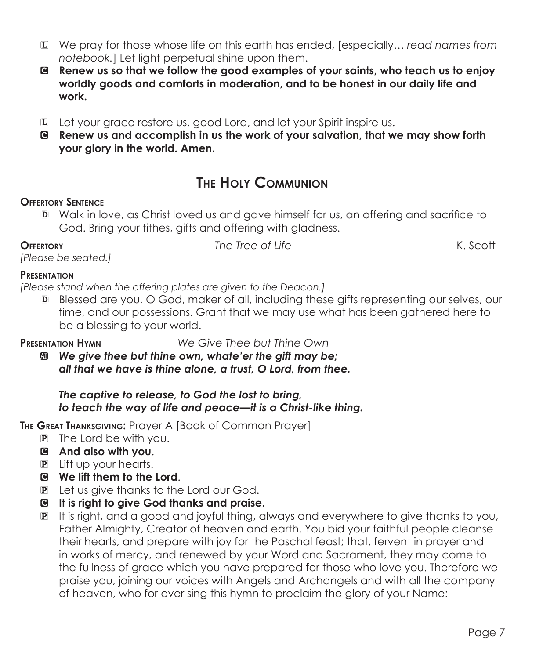- L We pray for those whose life on this earth has ended, [especially… *read names from notebook.*] Let light perpetual shine upon them.
- C **Renew us so that we follow the good examples of your saints, who teach us to enjoy worldly goods and comforts in moderation, and to be honest in our daily life and work.**
- L Let your grace restore us, good Lord, and let your Spirit inspire us.
- C **Renew us and accomplish in us the work of your salvation, that we may show forth your glory in the world. Amen.**

# **The Holy Communion**

## **Offertory Sentence**

D Walk in love, as Christ loved us and gave himself for us, an offering and sacrifice to God. Bring your tithes, gifts and offering with gladness.

*[Please be seated.]*

**Offertory** *The Tree of Life* K. Scott

### **Presentation**

*[Please stand when the offering plates are given to the Deacon.]*

D Blessed are you, O God, maker of all, including these gifts representing our selves, our time, and our possessions. Grant that we may use what has been gathered here to be a blessing to your world.

**Presentation Hymn** *We Give Thee but Thine Own*

a *We give thee but thine own, whate'er the gift may be; all that we have is thine alone, a trust, O Lord, from thee.*

# *The captive to release, to God the lost to bring, to teach the way of life and peace—it is a Christ-like thing.*

**The Great Thanksgiving:** Prayer A [Book of Common Prayer]

- P The Lord be with you.
- C **And also with you**.
- P Lift up your hearts.
- C **We lift them to the Lord**.
- P Let us give thanks to the Lord our God.
- C **It is right to give God thanks and praise.**
- P It is right, and a good and joyful thing, always and everywhere to give thanks to you, Father Almighty, Creator of heaven and earth. You bid your faithful people cleanse their hearts, and prepare with joy for the Paschal feast; that, fervent in prayer and in works of mercy, and renewed by your Word and Sacrament, they may come to the fullness of grace which you have prepared for those who love you. Therefore we praise you, joining our voices with Angels and Archangels and with all the company of heaven, who for ever sing this hymn to proclaim the glory of your Name: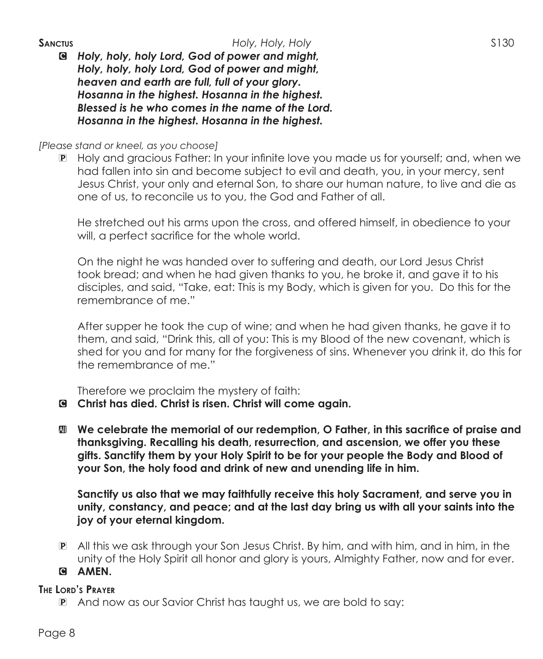C *Holy, holy, holy Lord, God of power and might, Holy, holy, holy Lord, God of power and might, heaven and earth are full, full of your glory. Hosanna in the highest. Hosanna in the highest. Blessed is he who comes in the name of the Lord. Hosanna in the highest. Hosanna in the highest.*

# *[Please stand or kneel, as you choose]*

P Holy and gracious Father: In your infinite love you made us for yourself; and, when we had fallen into sin and become subject to evil and death, you, in your mercy, sent Jesus Christ, your only and eternal Son, to share our human nature, to live and die as one of us, to reconcile us to you, the God and Father of all.

 He stretched out his arms upon the cross, and offered himself, in obedience to your will, a perfect sacrifice for the whole world.

 On the night he was handed over to suffering and death, our Lord Jesus Christ took bread; and when he had given thanks to you, he broke it, and gave it to his disciples, and said, "Take, eat: This is my Body, which is given for you. Do this for the remembrance of me."

After supper he took the cup of wine; and when he had given thanks, he gave it to them, and said, "Drink this, all of you: This is my Blood of the new covenant, which is shed for you and for many for the forgiveness of sins. Whenever you drink it, do this for the remembrance of me."

Therefore we proclaim the mystery of faith:

- C **Christ has died. Christ is risen. Christ will come again.**
- **M** We celebrate the memorial of our redemption, O Father, in this sacrifice of praise and **thanksgiving. Recalling his death, resurrection, and ascension, we offer you these gifts. Sanctify them by your Holy Spirit to be for your people the Body and Blood of your Son, the holy food and drink of new and unending life in him.**

 **Sanctify us also that we may faithfully receive this holy Sacrament, and serve you in unity, constancy, and peace; and at the last day bring us with all your saints into the joy of your eternal kingdom.** 

P All this we ask through your Son Jesus Christ. By him, and with him, and in him, in the unity of the Holy Spirit all honor and glory is yours, Almighty Father, now and for ever.

C **AMEN.**

# **The Lord's Prayer**

P And now as our Savior Christ has taught us, we are bold to say: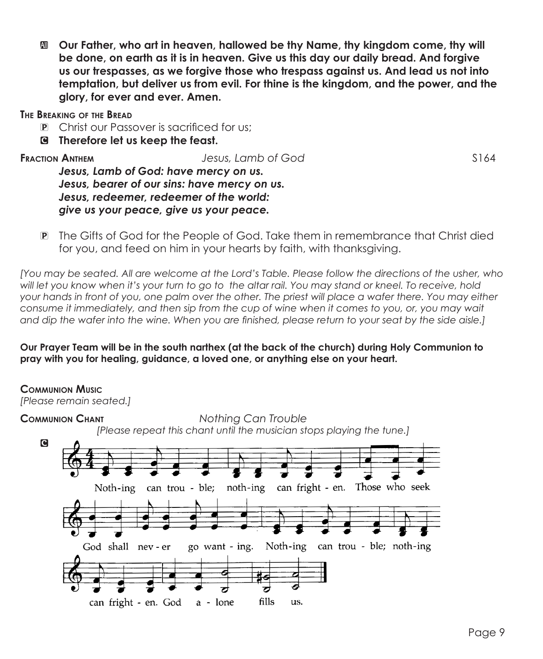a **Our Father, who art in heaven, hallowed be thy Name, thy kingdom come, thy will be done, on earth as it is in heaven. Give us this day our daily bread. And forgive us our trespasses, as we forgive those who trespass against us. And lead us not into temptation, but deliver us from evil. For thine is the kingdom, and the power, and the glory, for ever and ever. Amen.**

**The Breaking of the Bread**

- P Christ our Passover is sacrificed for us;
- C **Therefore let us keep the feast.**

**Fraction Anthem** *Jesus, Lamb of God* S164 *Jesus, Lamb of God: have mercy on us. Jesus, bearer of our sins: have mercy on us. Jesus, redeemer, redeemer of the world: give us your peace, give us your peace.*

P The Gifts of God for the People of God. Take them in remembrance that Christ died for you, and feed on him in your hearts by faith, with thanksgiving.

*[You may be seated. All are welcome at the Lord's Table. Please follow the directions of the usher, who will let you know when it's your turn to go to the altar rail. You may stand or kneel. To receive, hold your hands in front of you, one palm over the other. The priest will place a wafer there. You may either consume it immediately, and then sip from the cup of wine when it comes to you, or, you may wait and dip the wafer into the wine. When you are finished, please return to your seat by the side aisle.]*

**Our Prayer Team will be in the south narthex (at the back of the church) during Holy Communion to pray with you for healing, guidance, a loved one, or anything else on your heart.** 

# **Communion Music**

*[Please remain seated.]*

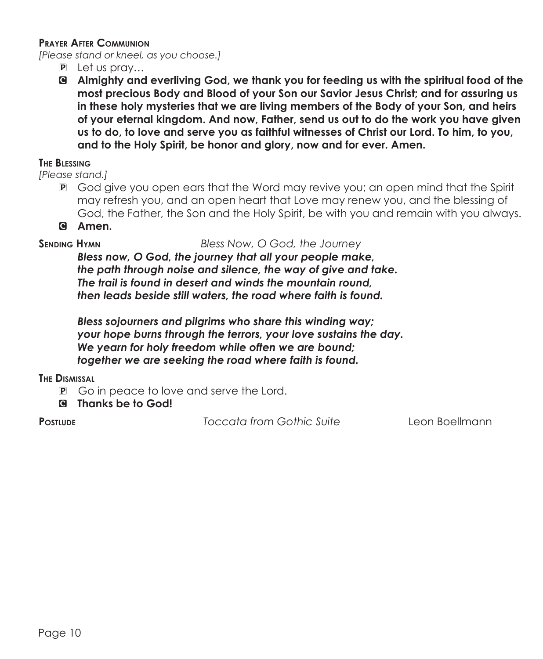#### **Prayer After Communion**

*[Please stand or kneel, as you choose.]*

- P Let us pray…
- C **Almighty and everliving God, we thank you for feeding us with the spiritual food of the most precious Body and Blood of your Son our Savior Jesus Christ; and for assuring us in these holy mysteries that we are living members of the Body of your Son, and heirs of your eternal kingdom. And now, Father, send us out to do the work you have given us to do, to love and serve you as faithful witnesses of Christ our Lord. To him, to you, and to the Holy Spirit, be honor and glory, now and for ever. Amen.**

#### **The Blessing**

*[Please stand.]*

- P God give you open ears that the Word may revive you; an open mind that the Spirit may refresh you, and an open heart that Love may renew you, and the blessing of God, the Father, the Son and the Holy Spirit, be with you and remain with you always.
- C **Amen.**

### **Sending Hymn** *Bless Now, O God, the Journey*

*Bless now, O God, the journey that all your people make, the path through noise and silence, the way of give and take. The trail is found in desert and winds the mountain round, then leads beside still waters, the road where faith is found.*

*Bless sojourners and pilgrims who share this winding way; your hope burns through the terrors, your love sustains the day. We yearn for holy freedom while often we are bound; together we are seeking the road where faith is found.*

#### **The Dismissal**

- $\mathbb P$  Go in peace to love and serve the Lord.
- C **Thanks be to God!**

**Postlude** *Toccata from Gothic Suite* Leon Boellmann